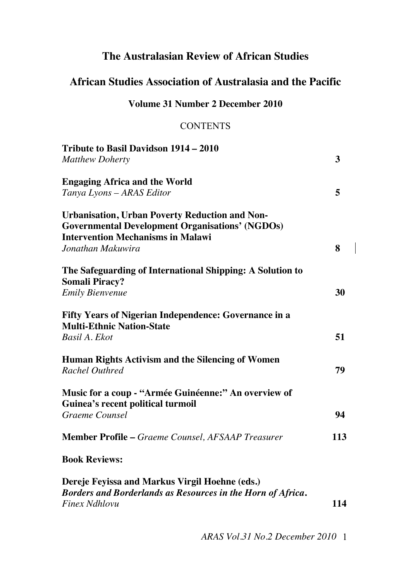# **The Australasian Review of African Studies**

# **African Studies Association of Australasia and the Pacific**

#### **Volume 31 Number 2 December 2010**

### **CONTENTS**

| Tribute to Basil Davidson 1914 - 2010                                                            |     |
|--------------------------------------------------------------------------------------------------|-----|
| <b>Matthew Doherty</b>                                                                           | 3   |
| <b>Engaging Africa and the World</b>                                                             |     |
| Tanya Lyons - ARAS Editor                                                                        | 5   |
| <b>Urbanisation, Urban Poverty Reduction and Non-</b>                                            |     |
| <b>Governmental Development Organisations' (NGDOs)</b>                                           |     |
| <b>Intervention Mechanisms in Malawi</b>                                                         |     |
| Jonathan Makuwira                                                                                | 8   |
| The Safeguarding of International Shipping: A Solution to<br><b>Somali Piracy?</b>               |     |
| <b>Emily Bienvenue</b>                                                                           | 30  |
| <b>Fifty Years of Nigerian Independence: Governance in a</b><br><b>Multi-Ethnic Nation-State</b> |     |
| Basil A. Ekot                                                                                    | 51  |
| Human Rights Activism and the Silencing of Women                                                 |     |
| <b>Rachel Outhred</b>                                                                            | 79  |
| Music for a coup - "Armée Guinéenne:" An overview of<br>Guinea's recent political turmoil        |     |
| Graeme Counsel                                                                                   | 94  |
| <b>Member Profile – Graeme Counsel, AFSAAP Treasurer</b>                                         | 113 |
| <b>Book Reviews:</b>                                                                             |     |
| Dereje Feyissa and Markus Virgil Hoehne (eds.)                                                   |     |
| Borders and Borderlands as Resources in the Horn of Africa.                                      |     |

*Finex Ndhlovu* **114**

 *ARAS Vol.31 No.2 December 2010* 1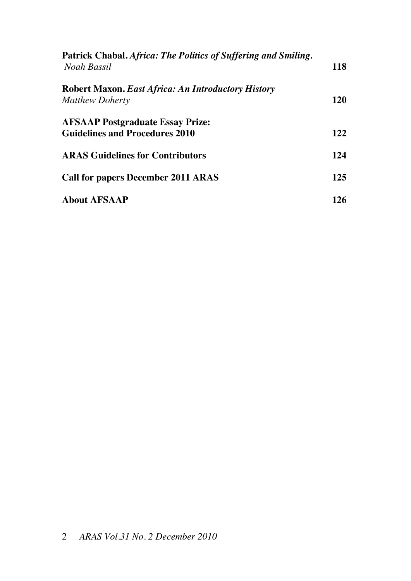| Patrick Chabal. Africa: The Politics of Suffering and Smiling.<br>Noah Bassil       | <b>118</b> |
|-------------------------------------------------------------------------------------|------------|
| <b>Robert Maxon. East Africa: An Introductory History</b><br><b>Matthew Doherty</b> | 120        |
| <b>AFSAAP Postgraduate Essay Prize:</b><br><b>Guidelines and Procedures 2010</b>    | 122        |
| <b>ARAS Guidelines for Contributors</b>                                             | 124        |
| <b>Call for papers December 2011 ARAS</b>                                           | 125        |
| <b>About AFSAAP</b>                                                                 | 126        |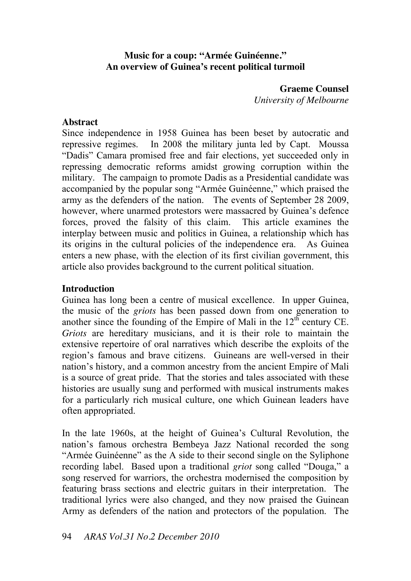#### **Music for a coup: "Armée Guinéenne." An overview of Guinea's recent political turmoil**

**Graeme Counsel**  *University of Melbourne* 

#### **Abstract**

Since independence in 1958 Guinea has been beset by autocratic and repressive regimes. In 2008 the military junta led by Capt. Moussa "Dadis" Camara promised free and fair elections, yet succeeded only in repressing democratic reforms amidst growing corruption within the military. The campaign to promote Dadis as a Presidential candidate was accompanied by the popular song "Armée Guinéenne," which praised the army as the defenders of the nation. The events of September 28 2009, however, where unarmed protestors were massacred by Guinea's defence forces, proved the falsity of this claim. This article examines the interplay between music and politics in Guinea, a relationship which has its origins in the cultural policies of the independence era. As Guinea enters a new phase, with the election of its first civilian government, this article also provides background to the current political situation.

#### **Introduction**

Guinea has long been a centre of musical excellence. In upper Guinea, the music of the *griots* has been passed down from one generation to another since the founding of the Empire of Mali in the  $12<sup>th</sup>$  century CE. *Griots* are hereditary musicians, and it is their role to maintain the extensive repertoire of oral narratives which describe the exploits of the region's famous and brave citizens. Guineans are well-versed in their nation's history, and a common ancestry from the ancient Empire of Mali is a source of great pride. That the stories and tales associated with these histories are usually sung and performed with musical instruments makes for a particularly rich musical culture, one which Guinean leaders have often appropriated.

In the late 1960s, at the height of Guinea's Cultural Revolution, the nation's famous orchestra Bembeya Jazz National recorded the song "Armée Guinéenne" as the A side to their second single on the Syliphone recording label. Based upon a traditional *griot* song called "Douga," a song reserved for warriors, the orchestra modernised the composition by featuring brass sections and electric guitars in their interpretation. The traditional lyrics were also changed, and they now praised the Guinean Army as defenders of the nation and protectors of the population. The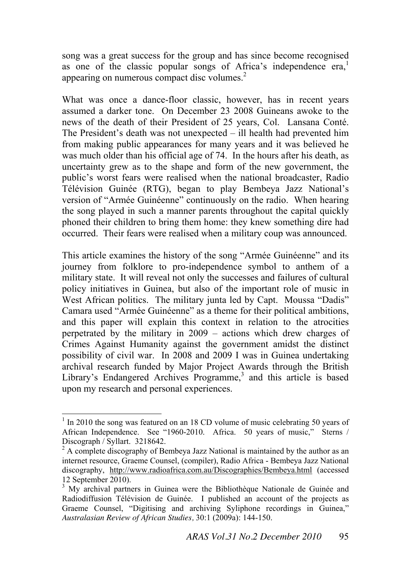song was a great success for the group and has since become recognised as one of the classic popular songs of Africa's independence  $era<sub>1</sub>$ <sup>1</sup> appearing on numerous compact disc volumes.<sup>2</sup>

What was once a dance-floor classic, however, has in recent years assumed a darker tone. On December 23 2008 Guineans awoke to the news of the death of their President of 25 years, Col. Lansana Conté. The President's death was not unexpected  $-$  ill health had prevented him from making public appearances for many years and it was believed he was much older than his official age of 74. In the hours after his death, as uncertainty grew as to the shape and form of the new government, the public's worst fears were realised when the national broadcaster, Radio Télévision Guinée (RTG), began to play Bembeya Jazz National's version of "Armée Guinéenne" continuously on the radio. When hearing the song played in such a manner parents throughout the capital quickly phoned their children to bring them home: they knew something dire had occurred. Their fears were realised when a military coup was announced.

This article examines the history of the song "Armée Guinéenne" and its journey from folklore to pro-independence symbol to anthem of a military state. It will reveal not only the successes and failures of cultural policy initiatives in Guinea, but also of the important role of music in West African politics. The military junta led by Capt. Moussa "Dadis" Camara used "Armée Guinéenne" as a theme for their political ambitions, and this paper will explain this context in relation to the atrocities perpetrated by the military in  $2009 -$  actions which drew charges of Crimes Against Humanity against the government amidst the distinct possibility of civil war. In 2008 and 2009 I was in Guinea undertaking archival research funded by Major Project Awards through the British Library's Endangered Archives Programme,<sup>3</sup> and this article is based upon my research and personal experiences.

<sup>&</sup>lt;sup>1</sup> In 2010 the song was featured on an 18 CD volume of music celebrating 50 years of African Independence. See "1960-2010. Africa. 50 years of music," Sterns / Discograph / Syllart. 3218642.

 $2^2$  A complete discography of Bembeya Jazz National is maintained by the author as an internet resource, Graeme Counsel, (compiler), Radio Africa - Bembeya Jazz National discography, http://www.radioafrica.com.au/Discographies/Bembeya.html (accessed 12 September 2010).

<sup>&</sup>lt;sup>3</sup> My archival partners in Guinea were the Bibliothèque Nationale de Guinée and Radiodiffusion Télévision de Guinée. I published an account of the projects as Graeme Counsel, "Digitising and archiving Syliphone recordings in Guinea," *Australasian Review of African Studies,* 30:1 (2009a): 144-150.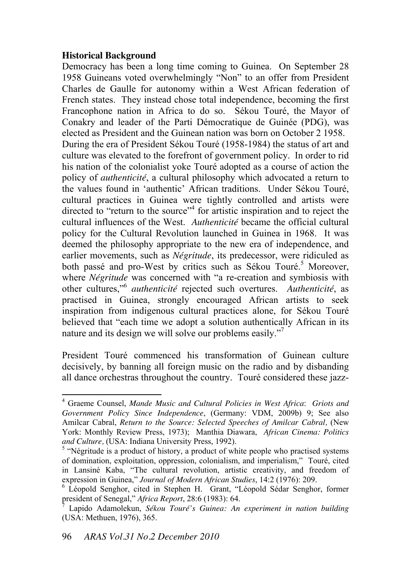#### **Historical Background**

Democracy has been a long time coming to Guinea. On September 28 1958 Guineans voted overwhelmingly "Non" to an offer from President Charles de Gaulle for autonomy within a West African federation of French states. They instead chose total independence, becoming the first Francophone nation in Africa to do so. Sékou Touré, the Mayor of Conakry and leader of the Parti Démocratique de Guinée (PDG), was elected as President and the Guinean nation was born on October 2 1958. During the era of President Sékou Touré (1958-1984) the status of art and culture was elevated to the forefront of government policy. In order to rid his nation of the colonialist yoke Touré adopted as a course of action the policy of *authenticité*, a cultural philosophy which advocated a return to the values found in 'authentic' African traditions. Under Sékou Touré, cultural practices in Guinea were tightly controlled and artists were directed to "return to the source"<sup>4</sup> for artistic inspiration and to reject the cultural influences of the West. *Authenticité* became the official cultural policy for the Cultural Revolution launched in Guinea in 1968. It was deemed the philosophy appropriate to the new era of independence, and earlier movements, such as *Négritude*, its predecessor, were ridiculed as both passé and pro-West by critics such as Sékou Touré.<sup>5</sup> Moreover, where *Négritude* was concerned with "a re-creation and symbiosis with other cultures,<sup>56</sup> *authenticité* rejected such overtures. Authenticité, as practised in Guinea, strongly encouraged African artists to seek inspiration from indigenous cultural practices alone, for Sékou Touré believed that "each time we adopt a solution authentically African in its nature and its design we will solve our problems easily."<sup>7</sup>

President Touré commenced his transformation of Guinean culture decisively, by banning all foreign music on the radio and by disbanding all dance orchestras throughout the country. Touré considered these jazz-

<sup>4</sup> Graeme Counsel, *Mande Music and Cultural Policies in West Africa*: *Griots and Government Policy Since Independence*, (Germany: VDM, 2009b) 9; See also Amilcar Cabral, *Return to the Source: Selected Speeches of Amilcar Cabral,* (New York: Monthly Review Press, 1973); Manthia Diawara, *African Cinema: Politics and Culture,* (USA: Indiana University Press, 1992).

 $<sup>5</sup>$  "Négritude is a product of history, a product of white people who practised systems</sup> of domination, exploitation, oppression, colonialism, and imperialism," Touré, cited in Lansiné Kaba, "The cultural revolution, artistic creativity, and freedom of expression in Guinea," *Journal of Modern African Studies*, 14:2 (1976): 209.

<sup>&</sup>lt;sup>6</sup> Léopold Senghor, cited in Stephen H. Grant, "Léopold Sédar Senghor, former president of Senegal," *Africa Report*, 28:6 (1983): 64.

<sup>7</sup> Lapido Adamolekun, *Sékou Touré's Guinea: An experiment in nation building*  (USA: Methuen, 1976), 365.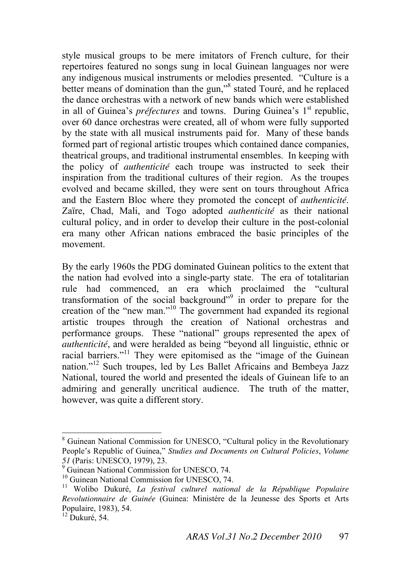style musical groups to be mere imitators of French culture, for their repertoires featured no songs sung in local Guinean languages nor were any indigenous musical instruments or melodies presented. "Culture is a better means of domination than the gun,"<sup>8</sup> stated Touré, and he replaced the dance orchestras with a network of new bands which were established in all of Guinea's *préfectures* and towns. During Guinea's 1<sup>st</sup> republic, over 60 dance orchestras were created, all of whom were fully supported by the state with all musical instruments paid for. Many of these bands formed part of regional artistic troupes which contained dance companies, theatrical groups, and traditional instrumental ensembles. In keeping with the policy of *authenticité* each troupe was instructed to seek their inspiration from the traditional cultures of their region. As the troupes evolved and became skilled, they were sent on tours throughout Africa and the Eastern Bloc where they promoted the concept of *authenticité*. Zaïre, Chad, Mali, and Togo adopted *authenticité* as their national cultural policy, and in order to develop their culture in the post-colonial era many other African nations embraced the basic principles of the movement.

By the early 1960s the PDG dominated Guinean politics to the extent that the nation had evolved into a single-party state. The era of totalitarian rule had commenced, an era which proclaimed the "cultural transformation of the social background<sup>39</sup> in order to prepare for the creation of the "new man." $\frac{10}{10}$  The government had expanded its regional artistic troupes through the creation of National orchestras and performance groups. These "national" groups represented the apex of *authenticité*, and were heralded as being "beyond all linguistic, ethnic or racial barriers."<sup>11</sup> They were epitomised as the "image of the Guinean nation."<sup>12</sup> Such troupes, led by Les Ballet Africains and Bembeya Jazz National, toured the world and presented the ideals of Guinean life to an admiring and generally uncritical audience. The truth of the matter, however, was quite a different story.

<sup>&</sup>lt;sup>8</sup> Guinean National Commission for UNESCO, "Cultural policy in the Revolutionary People's Republic of Guinea," *Studies and Documents on Cultural Policies*, *Volume 51* (Paris: UNESCO, 1979), 23.

<sup>9</sup> Guinean National Commission for UNESCO, 74.

<sup>&</sup>lt;sup>10</sup> Guinean National Commission for UNESCO, 74.

<sup>11</sup> Wolibo Dukuré, *La festival culturel national de la République Populaire Revolutionnaire de Guinée* (Guinea: Ministére de la Jeunesse des Sports et Arts Populaire, 1983), 54.

 $12$  Dukuré, 54.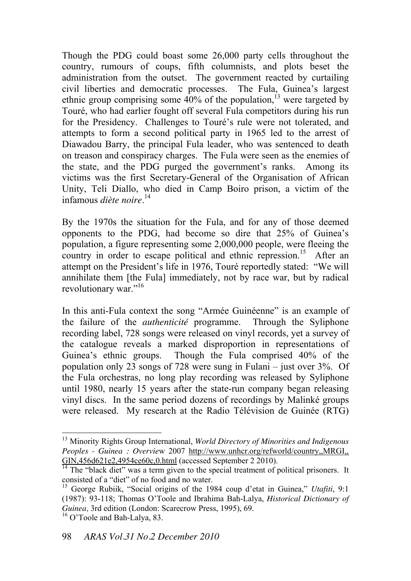Though the PDG could boast some 26,000 party cells throughout the country, rumours of coups, fifth columnists, and plots beset the administration from the outset. The government reacted by curtailing civil liberties and democratic processes. The Fula, Guinea's largest ethnic group comprising some  $40\%$  of the population,<sup>13</sup> were targeted by Touré, who had earlier fought off several Fula competitors during his run for the Presidency. Challenges to Touré's rule were not tolerated, and attempts to form a second political party in 1965 led to the arrest of Diawadou Barry, the principal Fula leader, who was sentenced to death on treason and conspiracy charges. The Fula were seen as the enemies of the state, and the PDG purged the government's ranks. Among its victims was the first Secretary-General of the Organisation of African Unity, Teli Diallo, who died in Camp Boiro prison, a victim of the infamous *diète noire*. 14

By the 1970s the situation for the Fula, and for any of those deemed opponents to the PDG, had become so dire that  $25\%$  of Guinea's population, a figure representing some 2,000,000 people, were fleeing the country in order to escape political and ethnic repression.<sup>15</sup> After an attempt on the President's life in 1976, Touré reportedly stated: "We will annihilate them [the Fula] immediately, not by race war, but by radical revolutionary war."<sup>16</sup>

In this anti-Fula context the song "Armée Guinéenne" is an example of the failure of the *authenticité* programme. Through the Syliphone recording label, 728 songs were released on vinyl records, yet a survey of the catalogue reveals a marked disproportion in representations of Guinea's ethnic groups. Though the Fula comprised  $40\%$  of the population only 23 songs of 728 were sung in Fulani  $-$  just over 3%. Of the Fula orchestras, no long play recording was released by Syliphone until 1980, nearly 15 years after the state-run company began releasing vinyl discs. In the same period dozens of recordings by Malinké groups were released. My research at the Radio Télévision de Guinée (RTG)

<sup>13</sup> Minority Rights Group International, *World Directory of Minorities and Indigenous Peoples - Guinea : Overvie*w 2007 http://www.unhcr.org/refworld/country,,MRGI,, GIN, 456d621e2, 4954ce60c, 0.html (accessed September 2 2010).

 $14$  The "black diet" was a term given to the special treatment of political prisoners. It consisted of a "diet" of no food and no water.

<sup>&</sup>lt;sup>15</sup> George Rubiik, "Social origins of the 1984 coup d'etat in Guinea," *Utafiti*, 9:1 (1987): 93-118; Thomas O'Toole and Ibrahima Bah-Lalya, *Historical Dictionary of Guinea,* 3rd edition (London: Scarecrow Press, 1995), 69.  $16$  O'Toole and Bah-Lalya, 83.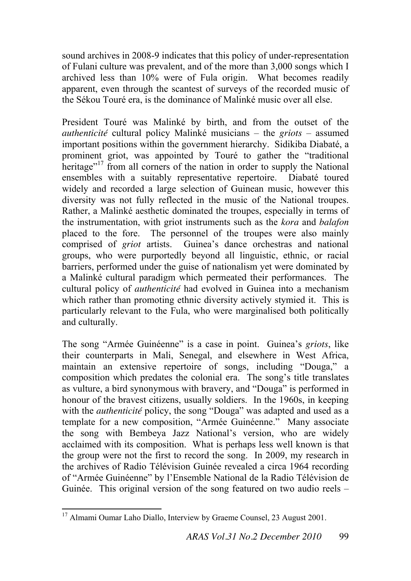sound archives in 2008-9 indicates that this policy of under-representation of Fulani culture was prevalent, and of the more than 3,000 songs which I archived less than 10% were of Fula origin. What becomes readily apparent, even through the scantest of surveys of the recorded music of the Sékou Touré era, is the dominance of Malinké music over all else.

President Touré was Malinké by birth, and from the outset of the *authenticité* cultural policy Malinké musicians \ the *griots* \ assumed important positions within the government hierarchy. Sidikiba Diabaté, a prominent griot, was appointed by Touré to gather the "traditional" heritage $17$  from all corners of the nation in order to supply the National ensembles with a suitably representative repertoire. Diabaté toured widely and recorded a large selection of Guinean music, however this diversity was not fully reflected in the music of the National troupes. Rather, a Malinké aesthetic dominated the troupes, especially in terms of the instrumentation, with griot instruments such as the *kora* and *balafon*  placed to the fore. The personnel of the troupes were also mainly comprised of *griot* artists. Guinea's dance orchestras and national groups, who were purportedly beyond all linguistic, ethnic, or racial barriers, performed under the guise of nationalism yet were dominated by a Malinké cultural paradigm which permeated their performances. The cultural policy of *authenticité* had evolved in Guinea into a mechanism which rather than promoting ethnic diversity actively stymied it. This is particularly relevant to the Fula, who were marginalised both politically and culturally.

The song "Armée Guinéenne" is a case in point. Guinea's *griots*, like their counterparts in Mali, Senegal, and elsewhere in West Africa, maintain an extensive repertoire of songs, including "Douga," a composition which predates the colonial era. The song's title translates as vulture, a bird synonymous with bravery, and "Douga" is performed in honour of the bravest citizens, usually soldiers. In the 1960s, in keeping with the *authenticité* policy, the song "Douga" was adapted and used as a template for a new composition, "Armée Guinéenne." Many associate the song with Bembeya Jazz National's version, who are widely acclaimed with its composition. What is perhaps less well known is that the group were not the first to record the song. In 2009, my research in the archives of Radio Télévision Guinée revealed a circa 1964 recording of "Armée Guinéenne" by l'Ensemble National de la Radio Télévision de Guinée. This original version of the song featured on two audio reels  $-$ 

 $\overline{a}$ <sup>17</sup> Almami Oumar Laho Diallo, Interview by Graeme Counsel, 23 August 2001.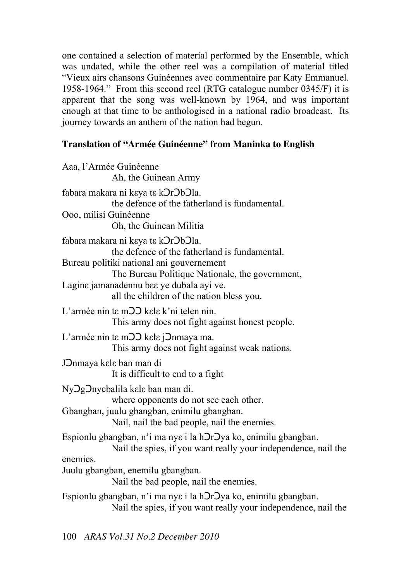one contained a selection of material performed by the Ensemble, which was undated, while the other reel was a compilation of material titled "Vieux airs chansons Guinéennes avec commentaire par Katy Emmanuel. 1958-1964." From this second reel (RTG catalogue number  $0345/F$ ) it is apparent that the song was well-known by 1964, and was important enough at that time to be anthologised in a national radio broadcast. Its journey towards an anthem of the nation had begun.

## **Translation of "Armée Guinéenne" from Maninka to English**

| Aaa, l'Armée Guinéenne<br>Ah, the Guinean Army                                                                                    |
|-----------------------------------------------------------------------------------------------------------------------------------|
| fabara makara ni keya te k <b>DrDbDl</b> a.<br>the defence of the fatherland is fundamental.                                      |
| Ooo, milisi Guinéenne<br>Oh, the Guinean Militia                                                                                  |
| fabara makara ni keya te k <b>OrObOla</b> .<br>the defence of the fatherland is fundamental.                                      |
| Bureau politiki national ani gouvernement<br>The Bureau Politique Nationale, the government,                                      |
| Lagine jamanadennu bee ye dubala ayi ve.<br>all the children of the nation bless you.                                             |
| L'armée nin te m O kele k'ni telen nin.<br>This army does not fight against honest people.                                        |
| L'armée nin te m <sub>22</sub> kele <i>j</i> 2nmaya ma.<br>This army does not fight against weak nations.                         |
| JOnmaya kele ban man di<br>It is difficult to end to a fight                                                                      |
| Ny Og Onyebalila kele ban man di.<br>where opponents do not see each other.                                                       |
| Gbangban, juulu gbangban, enimilu gbangban.<br>Nail, nail the bad people, nail the enemies.                                       |
| Espionlu gbangban, n'i ma nye i la hOrOya ko, enimilu gbangban.<br>Nail the spies, if you want really your independence, nail the |
| enemies.<br>Juulu gbangban, enemilu gbangban.<br>Nail the bad people, nail the enemies.                                           |
| Espionlu gbangban, n'i ma nye i la hOrOya ko, enimilu gbangban.<br>Nail the spies, if you want really your independence, nail the |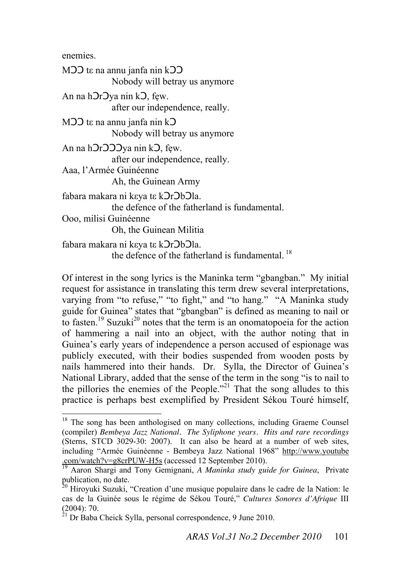enemies.

 $\overline{a}$ 

 $M$  $D$  t $\varepsilon$  na annu janfa nin k $D$  $D$  Nobody will betray us anymore An na h**Or**Oya nin kO, few. after our independence, really.  $M$  $D$  $D$  t $\varepsilon$  na annu janfa nin k $D$  Nobody will betray us anymore An na h**Or**OOOya nin kO, few. after our independence, really. Aaa, l'Armée Guinéenne Ah, the Guinean Army fabara makara ni keya te k**OrObOla**. the defence of the fatherland is fundamental. Ooo, milisi Guinéenne Oh, the Guinean Militia fabara makara ni keya te k**D**r**Ob**Ola. the defence of the fatherland is fundamental.<sup>18</sup>

Of interest in the song lyrics is the Maninka term "gbangban." My initial request for assistance in translating this term drew several interpretations, varying from "to refuse," "to fight," and "to hang." "A Maninka study guide for Guinea" states that "gbangban" is defined as meaning to nail or to fasten.<sup>19</sup> Suzuki<sup>20</sup> notes that the term is an onomatopoeia for the action of hammering a nail into an object, with the author noting that in Guinea's early years of independence a person accused of espionage was publicly executed, with their bodies suspended from wooden posts by nails hammered into their hands. Dr. Sylla, the Director of Guinea's National Library, added that the sense of the term in the song "is to nail to the pillories the enemies of the People.<sup> $22$ 1</sup> That the song alludes to this practice is perhaps best exemplified by President Sékou Touré himself,

<sup>&</sup>lt;sup>18</sup> The song has been anthologised on many collections, including Graeme Counsel (compiler) *Bembeya Jazz National. The Syliphone years. Hits and rare recordings*  (Sterns, STCD 3029-30: 2007). It can also be heard at a number of web sites, including "Armée Guinéenne - Bembeya Jazz National 1968" http://www.youtube .com/watch?v=g8crPUW-H5s (accessed 12 September 2010).

<sup>19</sup> Aaron Shargi and Tony Gemignani, *A Maninka study guide for Guinea*, Private publication, no date.

<sup>&</sup>lt;sup>20</sup> Hiroyuki Suzuki, "Creation d'une musique populaire dans le cadre de la Nation: le cas de la Guinée sous le régime de Sékou Touré," Cultures Sonores d'Afrique III (2004): 70.

 $21$  Dr Baba Cheick Sylla, personal correspondence, 9 June 2010.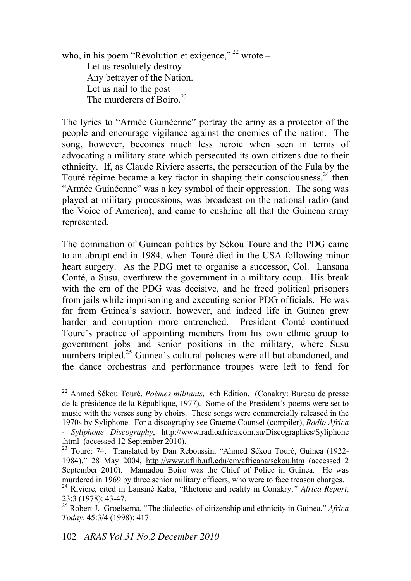who, in his poem "Révolution et exigence,"  $^{22}$  wrote  $-$ Let us resolutely destroy Any betrayer of the Nation. Let us nail to the post The murderers of Boiro.<sup>23</sup>

The lyrics to "Armée Guinéenne" portray the army as a protector of the people and encourage vigilance against the enemies of the nation. The song, however, becomes much less heroic when seen in terms of advocating a military state which persecuted its own citizens due to their ethnicity. If, as Claude Riviere asserts, the persecution of the Fula by the Touré régime became a key factor in shaping their consciousness.  $24$  then "Armée Guinéenne" was a key symbol of their oppression. The song was played at military processions, was broadcast on the national radio (and the Voice of America), and came to enshrine all that the Guinean army represented.

The domination of Guinean politics by Sékou Touré and the PDG came to an abrupt end in 1984, when Touré died in the USA following minor heart surgery. As the PDG met to organise a successor, Col. Lansana Conté, a Susu, overthrew the government in a military coup. His break with the era of the PDG was decisive, and he freed political prisoners from jails while imprisoning and executing senior PDG officials. He was far from Guinea's saviour, however, and indeed life in Guinea grew harder and corruption more entrenched. President Conté continued Touré's practice of appointing members from his own ethnic group to government jobs and senior positions in the military, where Susu numbers tripled.<sup>25</sup> Guinea's cultural policies were all but abandoned, and the dance orchestras and performance troupes were left to fend for

<sup>22</sup> Ahmed Sékou Touré, *Poèmes militants,* 6th Edition, (Conakry: Bureau de presse de la présidence de la République, 1977). Some of the President's poems were set to music with the verses sung by choirs. These songs were commercially released in the 1970s by Syliphone. For a discography see Graeme Counsel (compiler), *Radio Africa - Syliphone Discography*, http://www.radioafrica.com.au/Discographies/Syliphone html (accessed 12 September 2010).

 $\frac{23}{23}$  Touré: 74. Translated by Dan Reboussin, "Ahmed Sékou Touré, Guinea (1922-1984)," 28 May 2004, http://www.uflib.ufl.edu/cm/africana/sekou.htm (accessed 2 September 2010). Mamadou Boiro was the Chief of Police in Guinea. He was murdered in 1969 by three senior military officers, who were to face treason charges.

<sup>&</sup>lt;sup>24</sup> Riviere, cited in Lansiné Kaba, "Rhetoric and reality in Conakry," Africa Report, 23:3 (1978): 43-47.

<sup>&</sup>lt;sup>25</sup> Robert J. Groelsema, "The dialectics of citizenship and ethnicity in Guinea," *Africa Today,* 45:3/4 (1998): 417.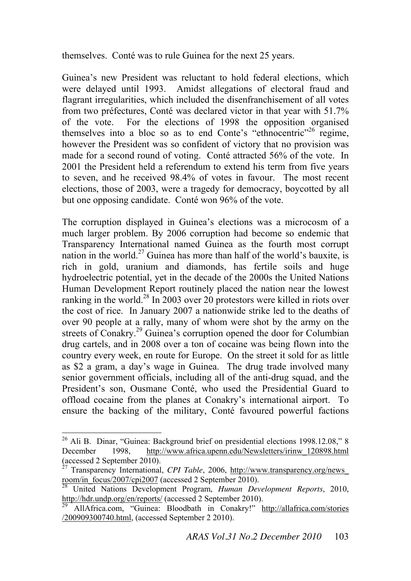themselves. Conté was to rule Guinea for the next 25 years.

Guinea's new President was reluctant to hold federal elections, which were delayed until 1993. Amidst allegations of electoral fraud and flagrant irregularities, which included the disenfranchisement of all votes from two préfectures, Conté was declared victor in that year with 51.7% of the vote. For the elections of 1998 the opposition organised themselves into a bloc so as to end Conte's "ethnocentric"<sup>26</sup> regime, however the President was so confident of victory that no provision was made for a second round of voting. Conté attracted 56% of the vote. In 2001 the President held a referendum to extend his term from five years to seven, and he received 98.4% of votes in favour. The most recent elections, those of 2003, were a tragedy for democracy, boycotted by all but one opposing candidate. Conté won 96% of the vote.

The corruption displayed in Guinea's elections was a microcosm of a much larger problem. By 2006 corruption had become so endemic that Transparency International named Guinea as the fourth most corrupt nation in the world.<sup>27</sup> Guinea has more than half of the world's bauxite, is rich in gold, uranium and diamonds, has fertile soils and huge hydroelectric potential, yet in the decade of the 2000s the United Nations Human Development Report routinely placed the nation near the lowest ranking in the world.<sup>28</sup> In 2003 over 20 protestors were killed in riots over the cost of rice. In January 2007 a nationwide strike led to the deaths of over 90 people at a rally, many of whom were shot by the army on the streets of Conakry.<sup>29</sup> Guinea's corruption opened the door for Columbian drug cartels, and in 2008 over a ton of cocaine was being flown into the country every week, en route for Europe. On the street it sold for as little as \$2 a gram, a day's wage in Guinea. The drug trade involved many senior government officials, including all of the anti-drug squad, and the President's son, Ousmane Conté, who used the Presidential Guard to offload cocaine from the planes at Conakry's international airport. To ensure the backing of the military, Conté favoured powerful factions

 $26$  Ali B. Dinar, "Guinea: Background brief on presidential elections 1998.12.08," 8 December 1998, http://www.africa.upenn.edu/Newsletters/irinw\_120898.html (accessed 2 September 2010).

<sup>&</sup>lt;sup>27</sup> Transparency International, *CPI Table*, 2006, http://www.transparency.org/news room/in\_focus/2007/cpi2007 (accessed 2 September 2010).

<sup>28</sup> United Nations Development Program, *Human Development Reports*, 2010, http://hdr.undp.org/en/reports/ (accessed 2 September 2010).

<sup>&</sup>lt;sup>29</sup> AllAfrica.com, "Guinea: Bloodbath in Conakry!" http://allafrica.com/stories /200909300740.html, (accessed September 2 2010).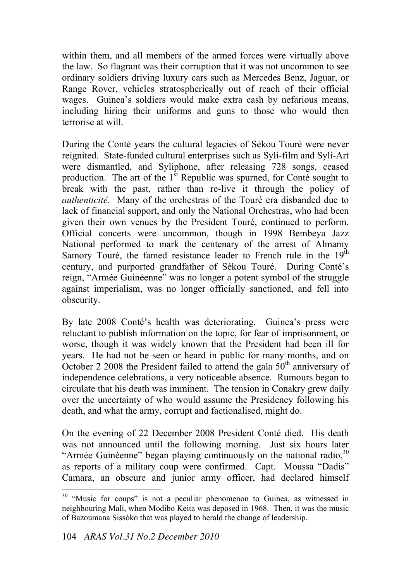within them, and all members of the armed forces were virtually above the law. So flagrant was their corruption that it was not uncommon to see ordinary soldiers driving luxury cars such as Mercedes Benz, Jaguar, or Range Rover, vehicles stratospherically out of reach of their official wages. Guinea's soldiers would make extra cash by nefarious means, including hiring their uniforms and guns to those who would then terrorise at will.

During the Conté years the cultural legacies of Sékou Touré were never reignited. State-funded cultural enterprises such as Syli-film and Syli-Art were dismantled, and Syliphone, after releasing 728 songs, ceased production. The art of the  $1<sup>st</sup>$  Republic was spurned, for Conté sought to break with the past, rather than re-live it through the policy of *authenticité*. Many of the orchestras of the Touré era disbanded due to lack of financial support, and only the National Orchestras, who had been given their own venues by the President Touré, continued to perform. Official concerts were uncommon, though in 1998 Bembeya Jazz National performed to mark the centenary of the arrest of Almamy Samory Touré, the famed resistance leader to French rule in the  $19<sup>th</sup>$ century, and purported grandfather of Sékou Touré. During Conté's reign, "Armée Guinéenne" was no longer a potent symbol of the struggle against imperialism, was no longer officially sanctioned, and fell into obscurity.

By late 2008 Conté's health was deteriorating. Guinea's press were reluctant to publish information on the topic, for fear of imprisonment, or worse, though it was widely known that the President had been ill for years. He had not be seen or heard in public for many months, and on October 2 2008 the President failed to attend the gala  $50<sup>th</sup>$  anniversary of independence celebrations, a very noticeable absence. Rumours began to circulate that his death was imminent. The tension in Conakry grew daily over the uncertainty of who would assume the Presidency following his death, and what the army, corrupt and factionalised, might do.

On the evening of 22 December 2008 President Conté died. His death was not announced until the following morning. Just six hours later "Armée Guinéenne" began playing continuously on the national radio,  $30$ as reports of a military coup were confirmed. Capt. Moussa "Dadis" Camara, an obscure and junior army officer, had declared himself

 $30$  "Music for coups" is not a peculiar phenomenon to Guinea, as witnessed in neighbouring Mali, when Modibo Keita was deposed in 1968. Then, it was the music of Bazoumana Sissòko that was played to herald the change of leadership.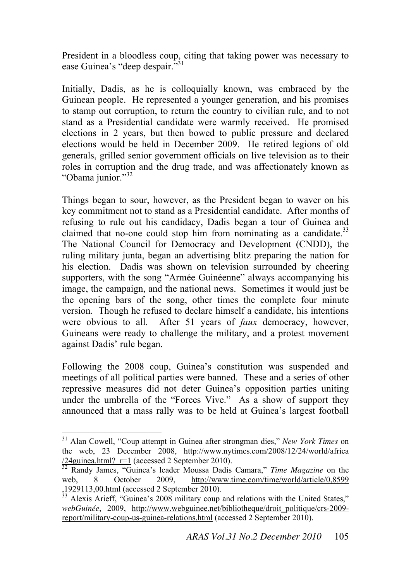President in a bloodless coup, citing that taking power was necessary to ease Guinea's "deep despair."<sup>31</sup>

Initially, Dadis, as he is colloquially known, was embraced by the Guinean people. He represented a younger generation, and his promises to stamp out corruption, to return the country to civilian rule, and to not stand as a Presidential candidate were warmly received. He promised elections in 2 years, but then bowed to public pressure and declared elections would be held in December 2009. He retired legions of old generals, grilled senior government officials on live television as to their roles in corruption and the drug trade, and was affectionately known as "Obama junior." $32$ 

Things began to sour, however, as the President began to waver on his key commitment not to stand as a Presidential candidate. After months of refusing to rule out his candidacy, Dadis began a tour of Guinea and claimed that no-one could stop him from nominating as a candidate. $33$ The National Council for Democracy and Development (CNDD), the ruling military junta, began an advertising blitz preparing the nation for his election. Dadis was shown on television surrounded by cheering supporters, with the song "Armée Guinéenne" always accompanying his image, the campaign, and the national news. Sometimes it would just be the opening bars of the song, other times the complete four minute version. Though he refused to declare himself a candidate, his intentions were obvious to all. After 51 years of *faux* democracy, however, Guineans were ready to challenge the military, and a protest movement against Dadis' rule began.

Following the 2008 coup, Guinea's constitution was suspended and meetings of all political parties were banned. These and a series of other repressive measures did not deter Guinea's opposition parties uniting under the umbrella of the "Forces Vive." As a show of support they announced that a mass rally was to be held at Guinea's largest football

<sup>&</sup>lt;sup>31</sup> Alan Cowell, "Coup attempt in Guinea after strongman dies," New York Times on the web, 23 December 2008, http://www.nytimes.com/2008/12/24/world/africa  $\frac{24\text{guinea.html}}{2}$  r=1 (accessed 2 September 2010).

<sup>&</sup>lt;sup>32</sup> Randy James, "Guinea's leader Moussa Dadis Camara," *Time Magazine* on the web, 8 October 2009, http://www.time.com/time/world/article/0,8599 ,1929113,00.html (accessed 2 September 2010).

 $33$  Alexis Arieff, "Guinea's 2008 military coup and relations with the United States," *webGuinée*, 2009, http://www.webguinee.net/bibliotheque/droit\_politique/crs-2009 report/military-coup-us-guinea-relations.html (accessed 2 September 2010).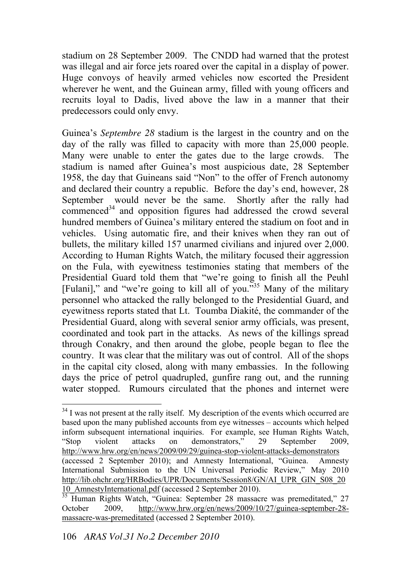stadium on 28 September 2009. The CNDD had warned that the protest was illegal and air force jets roared over the capital in a display of power. Huge convoys of heavily armed vehicles now escorted the President wherever he went, and the Guinean army, filled with young officers and recruits loyal to Dadis, lived above the law in a manner that their predecessors could only envy.

Guinea's *Septembre 28* stadium is the largest in the country and on the day of the rally was filled to capacity with more than 25,000 people. Many were unable to enter the gates due to the large crowds. The stadium is named after Guinea's most auspicious date, 28 September 1958, the day that Guineans said "Non" to the offer of French autonomy and declared their country a republic. Before the day's end, however, 28 September would never be the same. Shortly after the rally had  $compenced<sup>34</sup>$  and opposition figures had addressed the crowd several hundred members of Guinea's military entered the stadium on foot and in vehicles. Using automatic fire, and their knives when they ran out of bullets, the military killed 157 unarmed civilians and injured over 2,000. According to Human Rights Watch, the military focused their aggression on the Fula, with eyewitness testimonies stating that members of the Presidential Guard told them that "we're going to finish all the Peuhl [Fulani]," and "we're going to kill all of you. $\frac{355}{135}$  Many of the military personnel who attacked the rally belonged to the Presidential Guard, and eyewitness reports stated that Lt. Toumba Diakité, the commander of the Presidential Guard, along with several senior army officials, was present, coordinated and took part in the attacks. As news of the killings spread through Conakry, and then around the globe, people began to flee the country. It was clear that the military was out of control. All of the shops in the capital city closed, along with many embassies. In the following days the price of petrol quadrupled, gunfire rang out, and the running water stopped. Rumours circulated that the phones and internet were

 $34$  I was not present at the rally itself. My description of the events which occurred are based upon the many published accounts from eye witnesses \ accounts which helped inform subsequent international inquiries. For example, see Human Rights Watch, "Stop violent attacks on demonstrators," 29 September 2009, http://www.hrw.org/en/news/2009/09/29/guinea-stop-violent-attacks-demonstrators (accessed 2 September 2010); and Amnesty International, "Guinea. Amnesty International Submission to the UN Universal Periodic Review," May 2010 http://lib.ohchr.org/HRBodies/UPR/Documents/Session8/GN/AI\_UPR\_GIN\_S08\_20 10\_AmnestyInternational.pdf (accessed 2 September 2010).

<sup>&</sup>lt;sup>35</sup> Human Rights Watch, "Guinea: September 28 massacre was premeditated," 27 October 2009, http://www.hrw.org/en/news/2009/10/27/guinea-september-28 massacre-was-premeditated (accessed 2 September 2010).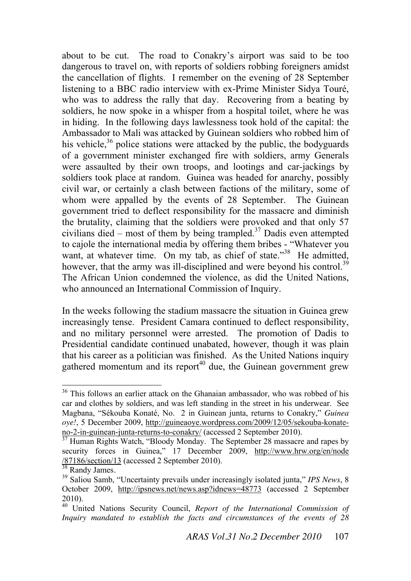about to be cut. The road to Conakry's airport was said to be too dangerous to travel on, with reports of soldiers robbing foreigners amidst the cancellation of flights. I remember on the evening of 28 September listening to a BBC radio interview with ex-Prime Minister Sidya Touré, who was to address the rally that day. Recovering from a beating by soldiers, he now spoke in a whisper from a hospital toilet, where he was in hiding. In the following days lawlessness took hold of the capital: the Ambassador to Mali was attacked by Guinean soldiers who robbed him of his vehicle,<sup>36</sup> police stations were attacked by the public, the bodyguards of a government minister exchanged fire with soldiers, army Generals were assaulted by their own troops, and lootings and car-jackings by soldiers took place at random. Guinea was headed for anarchy, possibly civil war, or certainly a clash between factions of the military, some of whom were appalled by the events of 28 September. The Guinean government tried to deflect responsibility for the massacre and diminish the brutality, claiming that the soldiers were provoked and that only 57 civilians died – most of them by being trampled.<sup>37</sup> Dadis even attempted to cajole the international media by offering them bribes - "Whatever you want, at whatever time. On my tab, as chief of state."<sup>38</sup> He admitted, however, that the army was ill-disciplined and were beyond his control.<sup>39</sup> The African Union condemned the violence, as did the United Nations, who announced an International Commission of Inquiry.

In the weeks following the stadium massacre the situation in Guinea grew increasingly tense. President Camara continued to deflect responsibility, and no military personnel were arrested. The promotion of Dadis to Presidential candidate continued unabated, however, though it was plain that his career as a politician was finished. As the United Nations inquiry gathered momentum and its report<sup>40</sup> due, the Guinean government grew

<sup>&</sup>lt;sup>36</sup> This follows an earlier attack on the Ghanaian ambassador, who was robbed of his car and clothes by soldiers, and was left standing in the street in his underwear. See Magbana, "Sékouba Konaté, No. 2 in Guinean junta, returns to Conakry," *Guinea oye!*, 5 December 2009, http://guineaoye.wordpress.com/2009/12/05/sekouba-konateno-2-in-guinean-junta-returns-to-conakry/ (accessed 2 September 2010).

 $\frac{37}{10}$  Human Rights Watch, "Bloody Monday. The September 28 massacre and rapes by security forces in Guinea," 17 December 2009, http://www.hrw.org/en/node  $\frac{\sqrt{87186}\text{/section/13}}{38}$  Randy James.

<sup>&</sup>lt;sup>39</sup> Saliou Samb, "Uncertainty prevails under increasingly isolated junta," *IPS News*, 8 October 2009, http://ipsnews.net/news.asp?idnews=48773 (accessed 2 September 2010).

<sup>40</sup> United Nations Security Council, *Report of the International Commission of Inquiry mandated to establish the facts and circumstances of the events of 28*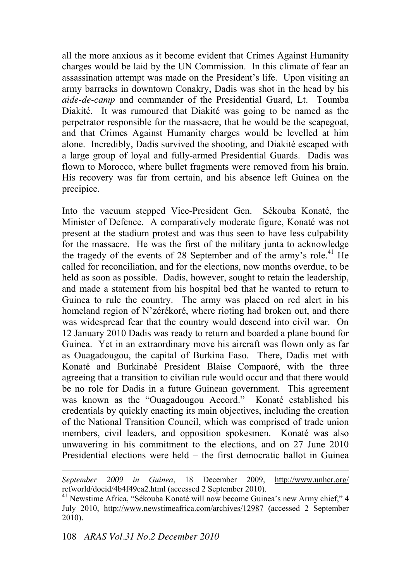all the more anxious as it become evident that Crimes Against Humanity charges would be laid by the UN Commission. In this climate of fear an assassination attempt was made on the President's life. Upon visiting an army barracks in downtown Conakry, Dadis was shot in the head by his *aide-de-camp* and commander of the Presidential Guard, Lt. Toumba Diakité. It was rumoured that Diakité was going to be named as the perpetrator responsible for the massacre, that he would be the scapegoat, and that Crimes Against Humanity charges would be levelled at him alone. Incredibly, Dadis survived the shooting, and Diakité escaped with a large group of loyal and fully-armed Presidential Guards. Dadis was flown to Morocco, where bullet fragments were removed from his brain. His recovery was far from certain, and his absence left Guinea on the precipice.

Into the vacuum stepped Vice-President Gen. Sékouba Konaté, the Minister of Defence. A comparatively moderate figure, Konaté was not present at the stadium protest and was thus seen to have less culpability for the massacre. He was the first of the military junta to acknowledge the tragedy of the events of 28 September and of the army's role.<sup>41</sup> He called for reconciliation, and for the elections, now months overdue, to be held as soon as possible. Dadis, however, sought to retain the leadership, and made a statement from his hospital bed that he wanted to return to Guinea to rule the country. The army was placed on red alert in his homeland region of N'zérékoré, where rioting had broken out, and there was widespread fear that the country would descend into civil war. On 12 January 2010 Dadis was ready to return and boarded a plane bound for Guinea. Yet in an extraordinary move his aircraft was flown only as far as Ouagadougou, the capital of Burkina Faso. There, Dadis met with Konaté and Burkinabé President Blaise Compaoré, with the three agreeing that a transition to civilian rule would occur and that there would be no role for Dadis in a future Guinean government. This agreement was known as the "Ouagadougou Accord." Konaté established his credentials by quickly enacting its main objectives, including the creation of the National Transition Council, which was comprised of trade union members, civil leaders, and opposition spokesmen. Konaté was also unwavering in his commitment to the elections, and on 27 June 2010 Presidential elections were held – the first democratic ballot in Guinea

*September 2009 in Guinea*, 18 December 2009, http://www.unhcr.org/ refworld/docid/4b4f49ea2.html (accessed 2 September 2010).

<sup>&</sup>lt;sup>41</sup> Newstime Africa, "Sékouba Konaté will now become Guinea's new Army chief," 4 July 2010, http://www.newstimeafrica.com/archives/12987 (accessed 2 September 2010).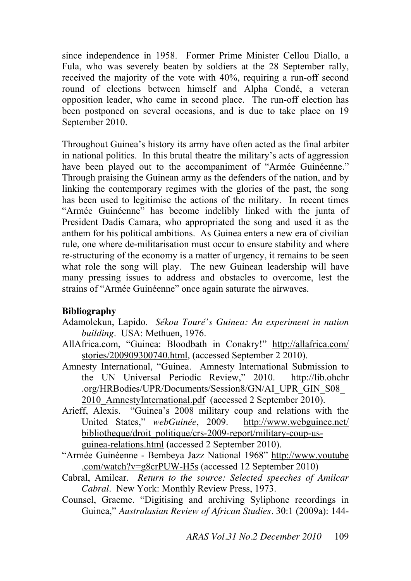since independence in 1958. Former Prime Minister Cellou Diallo, a Fula, who was severely beaten by soldiers at the 28 September rally, received the majority of the vote with 40%, requiring a run-off second round of elections between himself and Alpha Condé, a veteran opposition leader, who came in second place. The run-off election has been postponed on several occasions, and is due to take place on 19 September 2010.

Throughout Guinea's history its army have often acted as the final arbiter in national politics. In this brutal theatre the military's acts of aggression have been played out to the accompaniment of "Armée Guinéenne." Through praising the Guinean army as the defenders of the nation, and by linking the contemporary regimes with the glories of the past, the song has been used to legitimise the actions of the military. In recent times "Armée Guinéenne" has become indelibly linked with the junta of President Dadis Camara, who appropriated the song and used it as the anthem for his political ambitions. As Guinea enters a new era of civilian rule, one where de-militarisation must occur to ensure stability and where re-structuring of the economy is a matter of urgency, it remains to be seen what role the song will play. The new Guinean leadership will have many pressing issues to address and obstacles to overcome, lest the strains of "Armée Guinéenne" once again saturate the airwaves.

### **Bibliography**

- Adamolekun, Lapido. *Sékou Touré's Guinea: An experiment in nation building*. USA: Methuen, 1976.
- AllAfrica.com, "Guinea: Bloodbath in Conakry!" http://allafrica.com/ stories/200909300740.html, (accessed September 2 2010).
- Amnesty International, "Guinea. Amnesty International Submission to the UN Universal Periodic Review," 2010. http://lib.ohchr .org/HRBodies/UPR/Documents/Session8/GN/AI\_UPR\_GIN\_S08\_ 2010\_AmnestyInternational.pdf (accessed 2 September 2010).
- Arieff, Alexis. "Guinea's 2008 military coup and relations with the United States," *webGuinée*, 2009. http://www.webguinee.net/ bibliotheque/droit\_politique/crs-2009-report/military-coup-usguinea-relations.html (accessed 2 September 2010).
- "Armée Guinéenne Bembeya Jazz National 1968" http://www.youtube .com/watch?v=g8crPUW-H5s (accessed 12 September 2010)
- Cabral, Amilcar. *Return to the source: Selected speeches of Amilcar Cabral*. New York: Monthly Review Press, 1973.
- Counsel, Graeme. "Digitising and archiving Syliphone recordings in Guinea," *Australasian Review of African Studies.* 30:1 (2009a): 144-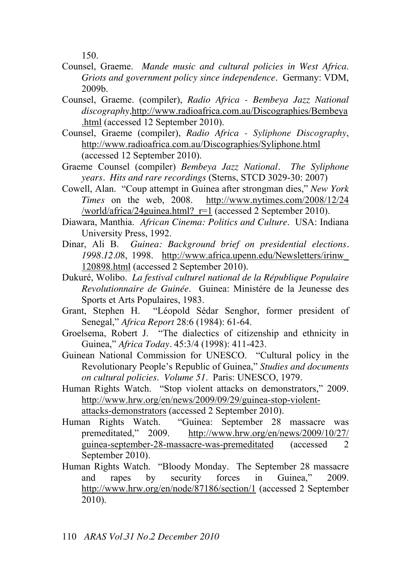150.

- Counsel, Graeme. *Mande music and cultural policies in West Africa*. *Griots and government policy since independence*. Germany: VDM, 2009b.
- Counsel, Graeme. (compiler), *Radio Africa Bembeya Jazz National discography,*http://www.radioafrica.com.au/Discographies/Bembeya .html (accessed 12 September 2010).
- Counsel, Graeme (compiler), *Radio Africa Syliphone Discography*, http://www.radioafrica.com.au/Discographies/Syliphone.html (accessed 12 September 2010).
- Graeme Counsel (compiler) *Bembeya Jazz National. The Syliphone years. Hits and rare recordings* (Sterns, STCD 3029-30: 2007)
- Cowell, Alan. "Coup attempt in Guinea after strongman dies," *New York Times* on the web, 2008. http://www.nytimes.com/2008/12/24 /world/africa/24guinea.html?\_r=1 (accessed 2 September 2010).
- Diawara, Manthia. *African Cinema: Politics and Culture*. USA: Indiana University Press, 1992.
- Dinar, Ali B. *Guinea: Background brief on presidential elections. 1998.12.0*8, 1998. http://www.africa.upenn.edu/Newsletters/irinw\_ 120898.html (accessed 2 September 2010).
- Dukuré, Wolibo. *La festival culturel national de la République Populaire Revolutionnaire de Guinée*. Guinea: Ministére de la Jeunesse des Sports et Arts Populaires, 1983.
- Grant, Stephen H. "Léopold Sédar Senghor, former president of Senegal," *Africa Report* 28:6 (1984): 61-64.
- Groelsema, Robert J. "The dialectics of citizenship and ethnicity in Guinea," *Africa Today.* 45:3/4 (1998): 411-423.
- Guinean National Commission for UNESCO. "Cultural policy in the Revolutionary People's Republic of Guinea," *Studies and documents on cultural policies*. *Volume 51*. Paris: UNESCO, 1979.
- Human Rights Watch. "Stop violent attacks on demonstrators," 2009. http://www.hrw.org/en/news/2009/09/29/guinea-stop-violentattacks-demonstrators (accessed 2 September 2010).
- Human Rights Watch. "Guinea: September 28 massacre was premeditated," 2009. http://www.hrw.org/en/news/2009/10/27/ guinea-september-28-massacre-was-premeditated (accessed 2 September 2010).
- Human Rights Watch. "Bloody Monday. The September 28 massacre and rapes by security forces in Guinea," 2009. http://www.hrw.org/en/node/87186/section/1 (accessed 2 September 2010).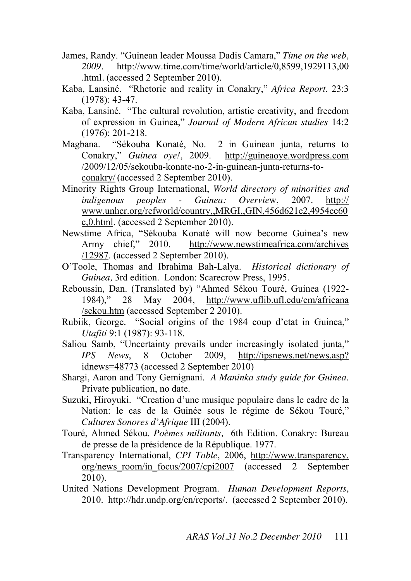- James, Randy. "Guinean leader Moussa Dadis Camara," Time on the web, *2009.* http://www.time.com/time/world/article/0,8599,1929113,00 .html*.* (accessed 2 September 2010).
- Kaba, Lansiné. "Rhetoric and reality in Conakry," *Africa Report*. 23:3 (1978): 43-47.
- Kaba, Lansiné. "The cultural revolution, artistic creativity, and freedom of expression in Guinea," *Journal of Modern African studies* 14:2 (1976): 201-218.
- Magbana. "Sékouba Konaté, No. 2 in Guinean junta, returns to Conakry," *Guinea ove!*, 2009. http://guineaoye.wordpress.com /2009/12/05/sekouba-konate-no-2-in-guinean-junta-returns-toconakry/ (accessed 2 September 2010).
- Minority Rights Group International, *World directory of minorities and indigenous peoples - Guinea: Overvie*w, 2007. http:// www.unhcr.org/refworld/country,,MRGI,,GIN,456d621e2,4954ce60 c,0.html. (accessed 2 September 2010).
- Newstime Africa, "Sékouba Konaté will now become Guinea's new Army chief," 2010. http://www.newstimeafrica.com/archives /12987. (accessed 2 September 2010).
- OPToole, Thomas and Ibrahima Bah-Lalya. *Historical dictionary of Guinea,* 3rd edition. London: Scarecrow Press, 1995*.*
- Reboussin, Dan. (Translated by) "Ahmed Sékou Touré, Guinea (1922-1984)," 28 May 2004, http://www.uflib.ufl.edu/cm/africana /sekou.htm (accessed September 2 2010).
- Rubiik, George. "Social origins of the 1984 coup d'etat in Guinea," *Utafiti* 9:1 (1987): 93-118.
- Saliou Samb, "Uncertainty prevails under increasingly isolated junta," *IPS News*, 8 October 2009, http://ipsnews.net/news.asp? idnews=48773 (accessed 2 September 2010)
- Shargi, Aaron and Tony Gemignani. *A Maninka study guide for Guinea*. Private publication, no date.
- Suzuki, Hiroyuki. "Creation d'une musique populaire dans le cadre de la Nation: le cas de la Guinée sous le régime de Sékou Touré," *Cultures Sonores d'Afrique* III (2004).
- Touré, Ahmed Sékou. *Poèmes militants,* 6th Edition. Conakry: Bureau de presse de la présidence de la République. 1977.
- Transparency International, *CPI Table*, 2006, http://www.transparency. org/news\_room/in\_focus/2007/cpi2007 (accessed 2 September 2010).
- United Nations Development Program. *Human Development Reports*, 2010. http://hdr.undp.org/en/reports/. (accessed 2 September 2010).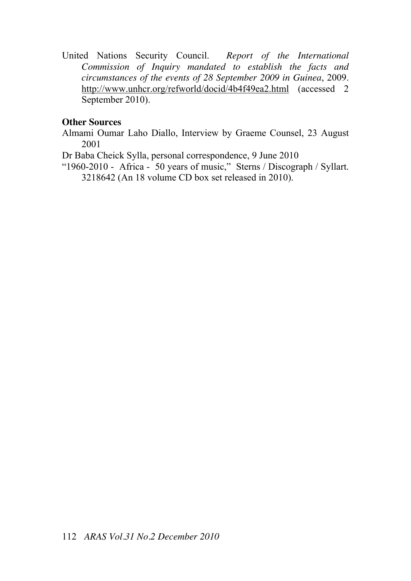United Nations Security Council. *Report of the International Commission of Inquiry mandated to establish the facts and circumstances of the events of 28 September 2009 in Guinea*, 2009. http://www.unhcr.org/refworld/docid/4b4f49ea2.html (accessed 2 September 2010).

### **Other Sources**

- Almami Oumar Laho Diallo, Interview by Graeme Counsel, 23 August 2001
- Dr Baba Cheick Sylla, personal correspondence, 9 June 2010
- "1960-2010 Africa 50 years of music," Sterns / Discograph / Syllart. 3218642 (An 18 volume CD box set released in 2010).